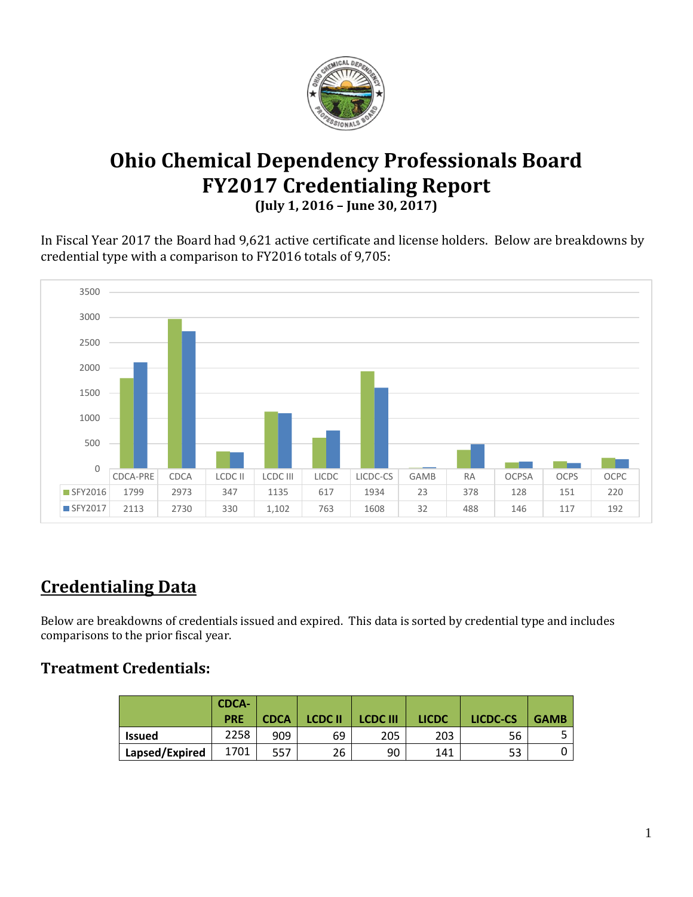

# **Ohio Chemical Dependency Professionals Board FY2017 Credentialing Report**

**(July 1, 2016 – June 30, 2017)**

In Fiscal Year 2017 the Board had 9,621 active certificate and license holders. Below are breakdowns by credential type with a comparison to FY2016 totals of 9,705:



# **Credentialing Data**

Below are breakdowns of credentials issued and expired. This data is sorted by credential type and includes comparisons to the prior fiscal year.

### **Treatment Credentials:**

|                | <b>CDCA-</b><br><b>PRE</b> | <b>CDCA</b> | <b>LCDC II</b> | <b>LCDC III</b> | <b>LICDC</b> | LICDC-CS | <b>GAMB</b> |
|----------------|----------------------------|-------------|----------------|-----------------|--------------|----------|-------------|
| <b>Issued</b>  | 2258                       | 909         | 69             | 205             | 203          | 56       |             |
| Lapsed/Expired | 1701                       | 557         | 26             | 90              | 141          | ロつ<br>ວວ |             |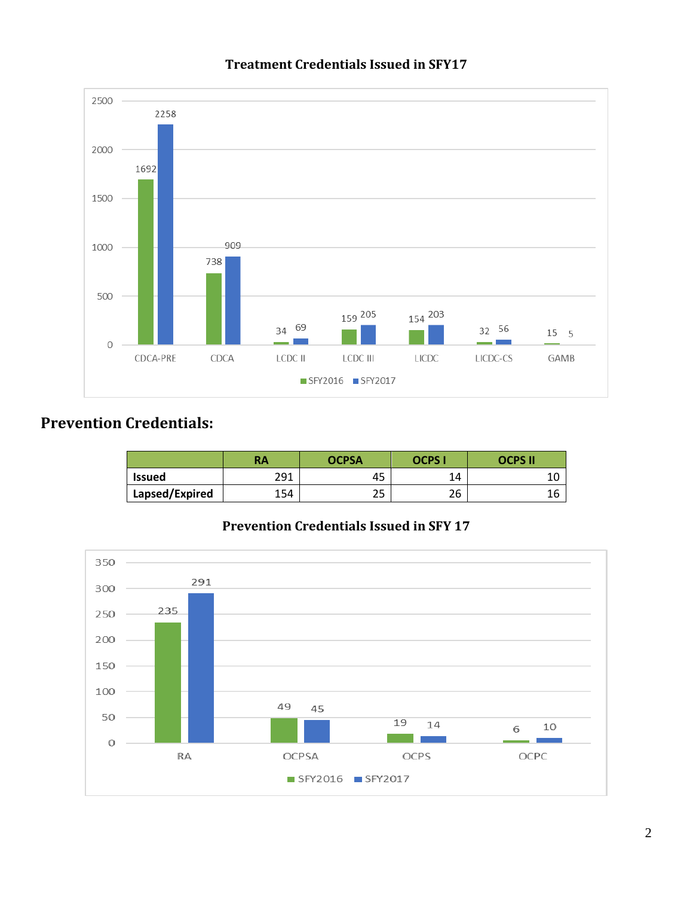

#### **Treatment Credentials Issued in SFY17**

### **Prevention Credentials:**

|                | <b>RA</b> | <b>OCPSA</b> | OCPS I    | OCPS II |  |
|----------------|-----------|--------------|-----------|---------|--|
| <b>Issued</b>  | 291       | 45           | 14        |         |  |
| Lapsed/Expired | 154       | n F<br>ر ے   | n c<br>۷b |         |  |

#### **Prevention Credentials Issued in SFY 17**